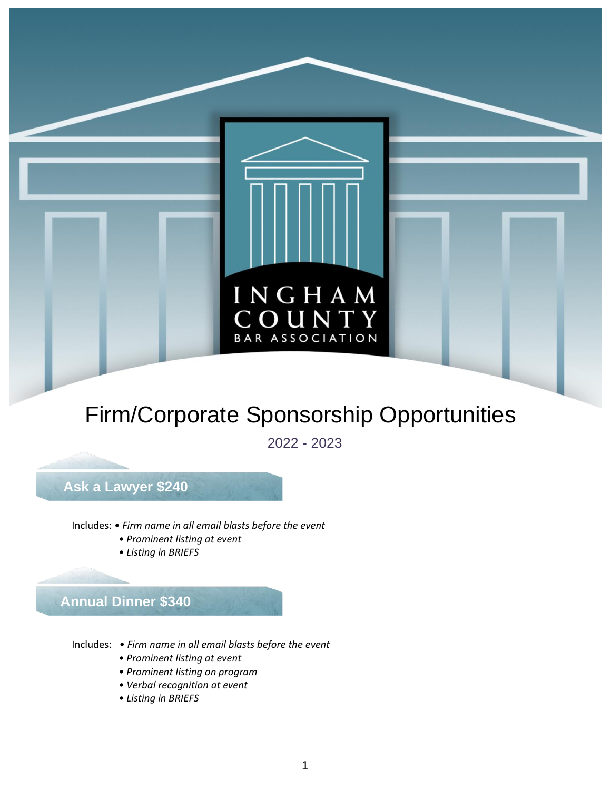

# Firm/Corporate Sponsorship Opportunities

2022 - 2023

### **Ask a Lawyer \$240**

Includes: *• Firm name in all email blasts before the event*

- *• Prominent listing at event*
- *• Listing in BRIEFS*

**Annual Dinner \$340**

- Includes: *• Firm name in all email blasts before the event*
	- *• Prominent listing at event*
	- *• Prominent listing on program*
	- *• Verbal recognition at event*
	- *• Listing in BRIEFS*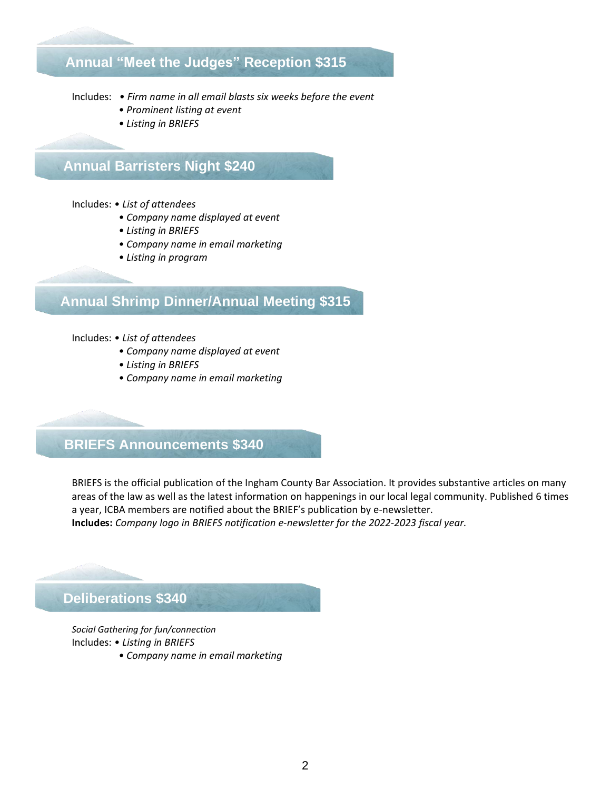### **Annual "Meet the Judges" Reception \$315**

Includes: *• Firm name in all email blasts six weeks before the event*

- *• Prominent listing at event*
- *• Listing in BRIEFS*

### **Annual Barristers Night \$240**

#### Includes: *• List of attendees*

- *• Company name displayed at event*
- *• Listing in BRIEFS*
- *• Company name in email marketing*
- *• Listing in program*

### **Annual Shrimp Dinner/Annual Meeting \$315**

#### Includes: *• List of attendees*

- *• Company name displayed at event*
- *• Listing in BRIEFS*
- *• Company name in email marketing*

### **BRIEFS Announcements \$340**

BRIEFS is the official publication of the Ingham County Bar Association. It provides substantive articles on many areas of the law as well as the latest information on happenings in our local legal community. Published 6 times a year, ICBA members are notified about the BRIEF's publication by e-newsletter.

**Includes:** *Company logo in BRIEFS notification e-newsletter for the 2022-2023 fiscal year.*

**Deliberations \$340**

*Social Gathering for fun/connection*

- Includes: *• Listing in BRIEFS*
	- *• Company name in email marketing*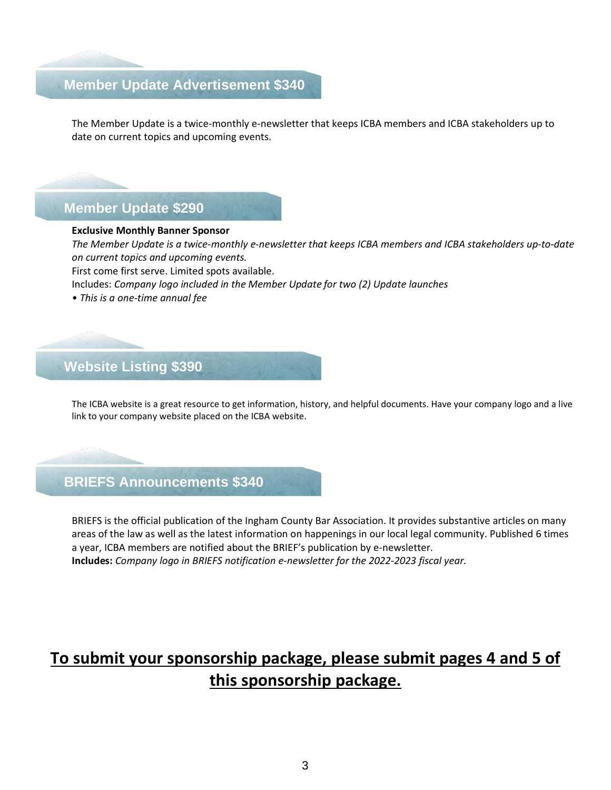### **Member Update Advertisement \$340**

The Member Update is a twice-monthly e-newsletter that keeps ICBA members and ICBA stakeholders up to date on current topics and upcoming events.

### **Member Update \$290**

#### **Exclusive Monthly Banner Sponsor**

*The Member Update is a twice-monthly e-newsletter that keeps ICBA members and ICBA stakeholders up-to-date on current topics and upcoming events.*

First come first serve. Limited spots available.

Includes: *Company logo included in the Member Update for two (2) Update launches*

*• This is a one-time annual fee*

### **Website Listing \$390**

The ICBA website is a great resource to get information, history, and helpful documents. Have your company logo and a live link to your company website placed on the ICBA website.

### **BRIEFS Announcements \$340**

BRIEFS is the official publication of the Ingham County Bar Association. It provides substantive articles on many areas of the law as well as the latest information on happenings in our local legal community. Published 6 times a year, ICBA members are notified about the BRIEF's publication by e-newsletter. **Includes:** *Company logo in BRIEFS notification e-newsletter for the 2022-2023 fiscal year.*

## **To submit your sponsorship package, please submit pages 4 and 5 of this sponsorship package.**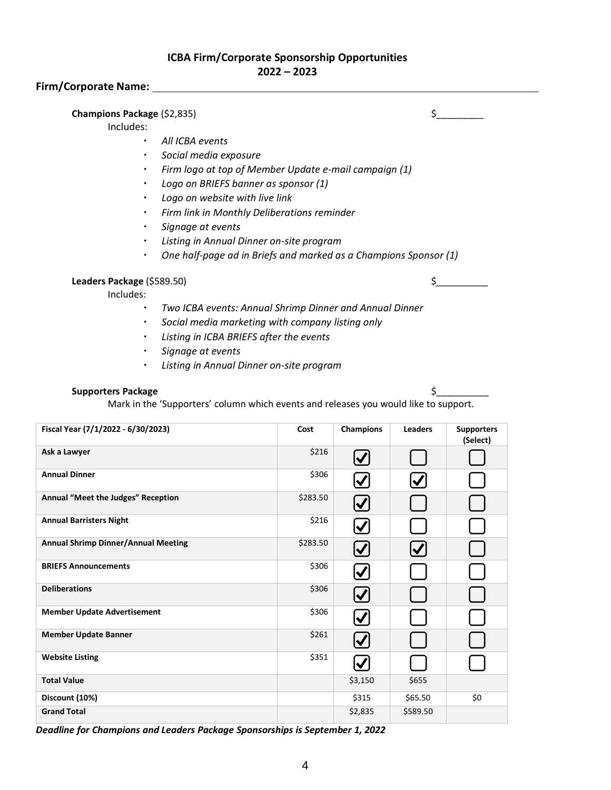#### **ICBA Firm/Corporate Sponsorship Opportunities 2022 – 2023**

#### **Firm/Corporate Name:**

#### **Champions Package** (\$2,835) \$

#### Includes:

- *All ICBA events*
- *Social media exposure*
- *Firm logo at top of Member Update e-mail campaign (1)*
- *Logo on BRIEFS banner as sponsor (1)*
- *Logo on website with live link*
- *Firm link in Monthly Deliberations reminder*
- *Signage at events*
- *Listing in Annual Dinner on-site program*
- *One half-page ad in Briefs and marked as a Champions Sponsor (1)*

**Leaders Package** (\$589.50) \$

Includes:

- *Two ICBA events: Annual Shrimp Dinner and Annual Dinner*
- *Social media marketing with company listing only*
- *Listing in ICBA BRIEFS after the events*
- *Signage at events*
- *Listing in Annual Dinner on-site program*

#### **Supporters Package \$4.5 \$ \$4.5 \$ \$4.5 \$ \$4.5 \$ \$4.5 \$ \$4.5 \$ \$4.5 \$ \$4.5 \$ \$4.5 \$ \$4.5 \$ \$4.5 \$ \$4.5 \$ \$4.5 \$ \$4.5 \$ \$4.5 \$ \$4.5 \$ \$4.5 \$ \$4.5 \$ \$4.5 \$ \$4.5 \$ \$4.5 \$ \$4.5 \$ \$4.5 \$ \$4.5 \$ \$4.5 \$ \$4.5 \$ \$4.5 \$ \$4.5 \$ \$4.5 \$**

Mark in the 'Supporters' column which events and releases you would like to support.

| Fiscal Year (7/1/2022 - 6/30/2023)         | Cost     | <b>Champions</b>           | <b>Leaders</b>       | <b>Supporters</b><br>(Select) |
|--------------------------------------------|----------|----------------------------|----------------------|-------------------------------|
| Ask a Lawyer                               | \$216    | $\bm{\mathcal{V}}$         |                      |                               |
| <b>Annual Dinner</b>                       | \$306    |                            | $\blacktriangledown$ |                               |
| Annual "Meet the Judges" Reception         | \$283.50 | $\boldsymbol{\mathcal{U}}$ |                      |                               |
| <b>Annual Barristers Night</b>             | \$216    | $\blacktriangledown$       |                      |                               |
| <b>Annual Shrimp Dinner/Annual Meeting</b> | \$283.50 | $\bm{\omega}$              | $\bm{\mathcal{U}}$   |                               |
| <b>BRIEFS Announcements</b>                | \$306    | $\bm{\mathcal{U}}$         |                      |                               |
| <b>Deliberations</b>                       | \$306    | $\bm{\omega}$              |                      |                               |
| <b>Member Update Advertisement</b>         | \$306    |                            |                      |                               |
| <b>Member Update Banner</b>                | \$261    | $\bm{\mathcal{U}}$         |                      |                               |
| <b>Website Listing</b>                     | \$351    | $\bm{\mathcal{U}}$         |                      |                               |
| <b>Total Value</b>                         |          | \$3,150                    | \$655                |                               |
| Discount (10%)                             |          | \$315                      | \$65.50              | \$0                           |
| <b>Grand Total</b>                         |          | \$2,835                    | \$589.50             |                               |

*Deadline for Champions and Leaders Package Sponsorships is September 1, 2022*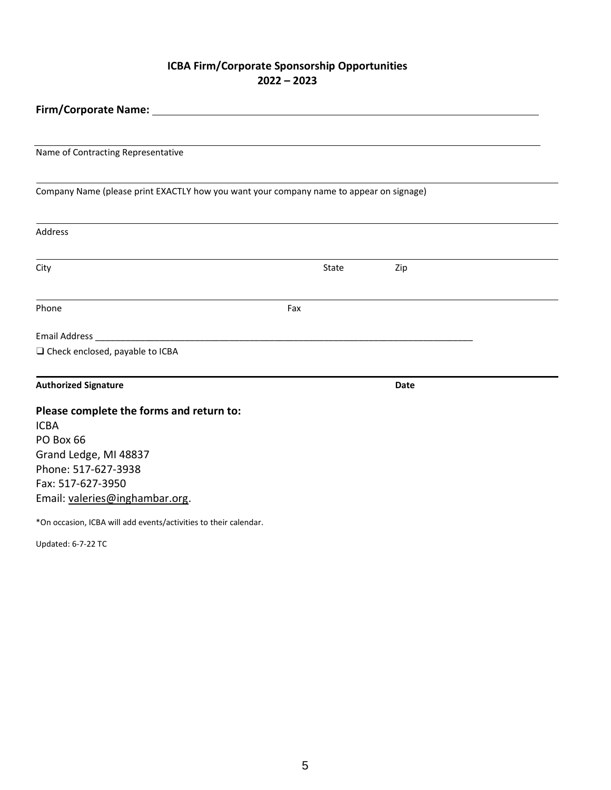#### **ICBA Firm/Corporate Sponsorship Opportunities 2022 – 2023**

| Firm/Corporate Name:                                                                    |     |       |             |  |  |  |
|-----------------------------------------------------------------------------------------|-----|-------|-------------|--|--|--|
|                                                                                         |     |       |             |  |  |  |
| Name of Contracting Representative                                                      |     |       |             |  |  |  |
| Company Name (please print EXACTLY how you want your company name to appear on signage) |     |       |             |  |  |  |
| Address                                                                                 |     |       |             |  |  |  |
| City                                                                                    |     | State | Zip         |  |  |  |
| Phone                                                                                   | Fax |       |             |  |  |  |
| Email Address _                                                                         |     |       |             |  |  |  |
| □ Check enclosed, payable to ICBA                                                       |     |       |             |  |  |  |
| <b>Authorized Signature</b>                                                             |     |       | <b>Date</b> |  |  |  |
| Please complete the forms and return to:                                                |     |       |             |  |  |  |
| <b>ICBA</b>                                                                             |     |       |             |  |  |  |
| PO Box 66                                                                               |     |       |             |  |  |  |
| Grand Ledge, MI 48837                                                                   |     |       |             |  |  |  |
| Phone: 517-627-3938                                                                     |     |       |             |  |  |  |
| Fax: 517-627-3950                                                                       |     |       |             |  |  |  |
| Email: valeries@inghambar.org.                                                          |     |       |             |  |  |  |
| *On occasion, ICBA will add events/activities to their calendar.                        |     |       |             |  |  |  |

Updated: 6-7-22 TC